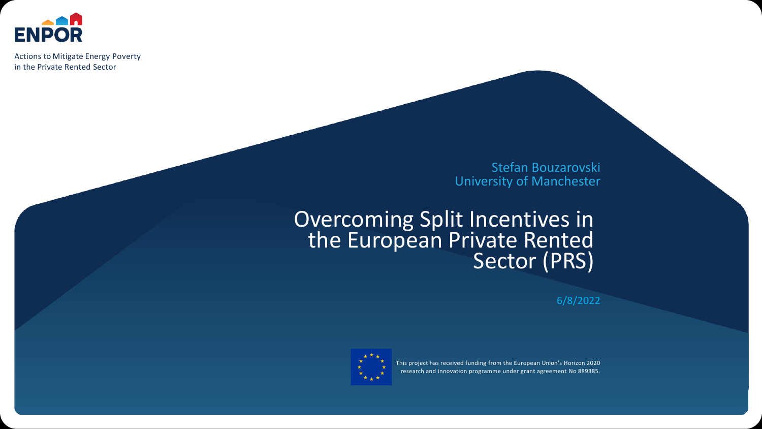

Actions to Mitigate Energy Poverty in the Private Rented Sector

> Stefan Bouzarovski University of Manchester

## Overcoming Split Incentives in the European Private Rented Sector (PRS)

6/8/2022



This project has received funding from the European Union's Horizon 2020 research and innovation programme under grant agreement No 889385.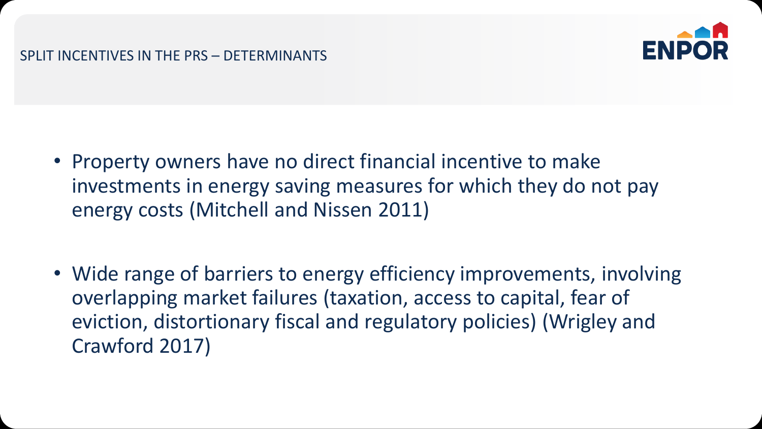#### SPLIT INCENTIVES IN THE PRS – DETERMINANTS



- Property owners have no direct financial incentive to make investments in energy saving measures for which they do not pay energy costs (Mitchell and Nissen 2011)
- Wide range of barriers to energy efficiency improvements, involving overlapping market failures (taxation, access to capital, fear of eviction, distortionary fiscal and regulatory policies) (Wrigley and Crawford 2017)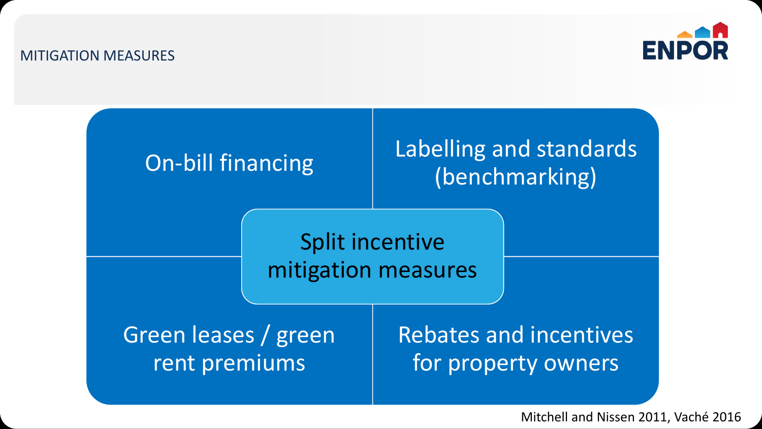#### MITIGATION MEASURES





Mitchell and Nissen 2011, Vaché 2016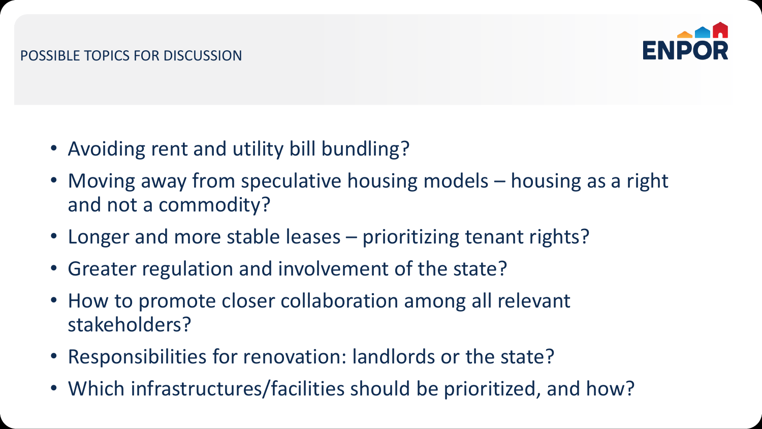

- Avoiding rent and utility bill bundling?
- Moving away from speculative housing models housing as a right and not a commodity?
- Longer and more stable leases prioritizing tenant rights?
- Greater regulation and involvement of the state?
- How to promote closer collaboration among all relevant stakeholders?
- Responsibilities for renovation: landlords or the state?
- Which infrastructures/facilities should be prioritized, and how?